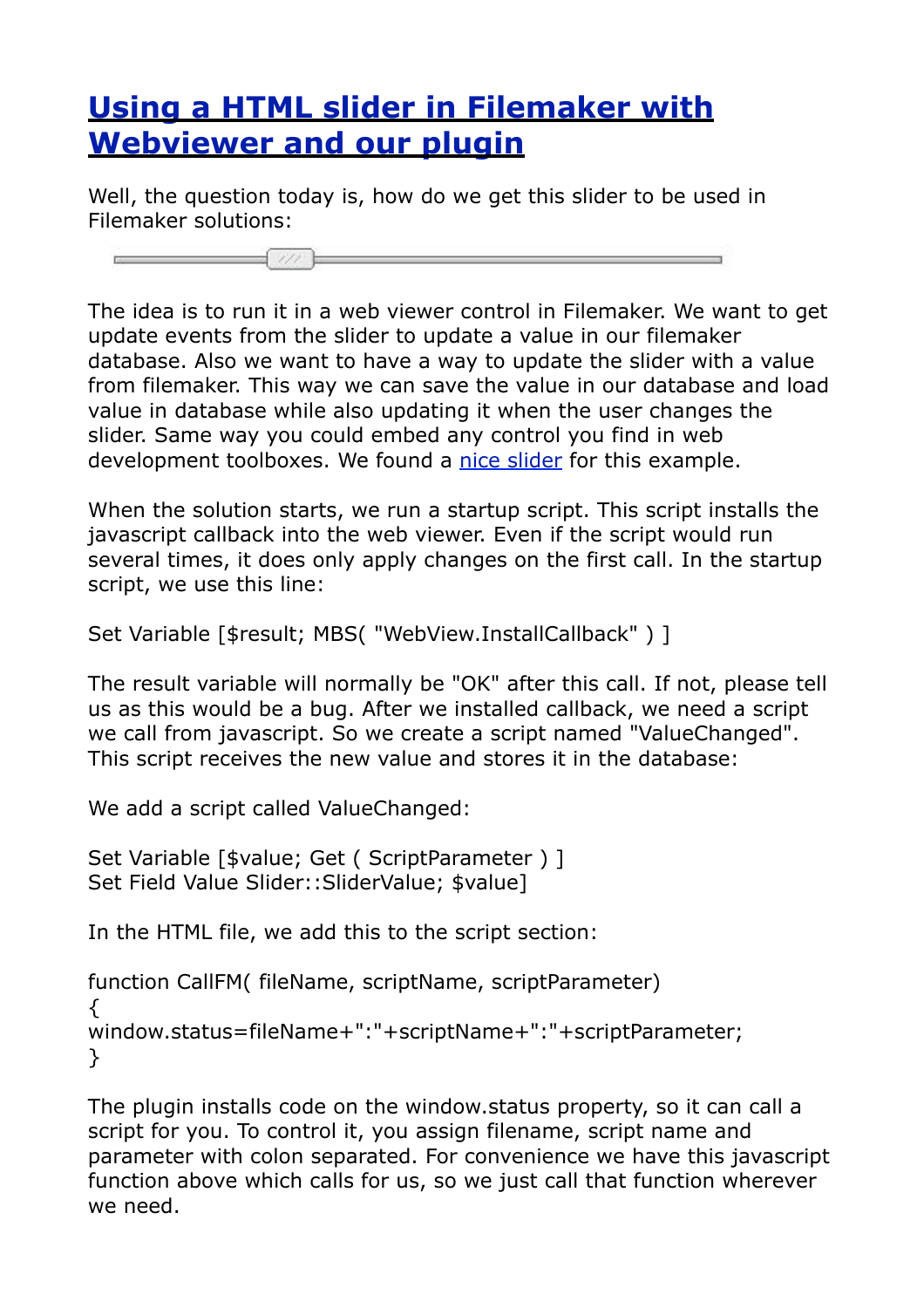## **[Using a HTML slider in Filemaker with](https://www.mbsplugins.de/archive/2012-01-29/Using_a_HTML_slider_in_Filemak)  [Webviewer and our plugin](https://www.mbsplugins.de/archive/2012-01-29/Using_a_HTML_slider_in_Filemak)**

Well, the question today is, how do we get this slider to be used in Filemaker solutions:

The idea is to run it in a web viewer control in Filemaker. We want to get update events from the slider to update a value in our filemaker database. Also we want to have a way to update the slider with a value from filemaker. This way we can save the value in our database and load value in database while also updating it when the user changes the slider. Same way you could embed any control you find in web development toolboxes. We found a [nice slider](http://webfx.eae.net/dhtml/slider/slider.html) for this example.

When the solution starts, we run a startup script. This script installs the javascript callback into the web viewer. Even if the script would run several times, it does only apply changes on the first call. In the startup script, we use this line:

```
Set Variable [$result; MBS( "WebView.InstallCallback" ) ]
```
The result variable will normally be "OK" after this call. If not, please tell us as this would be a bug. After we installed callback, we need a script we call from javascript. So we create a script named "ValueChanged". This script receives the new value and stores it in the database:

We add a script called ValueChanged:

 $\int$ 

```
Set Variable [$value; Get ( ScriptParameter ) ]
Set Field Value Slider::SliderValue; $value]
```
In the HTML file, we add this to the script section:

```
function CallFM( fileName, scriptName, scriptParameter) 
{
window.status=fileName+":"+scriptName+":"+scriptParameter;
}
```
The plugin installs code on the window.status property, so it can call a script for you. To control it, you assign filename, script name and parameter with colon separated. For convenience we have this javascript function above which calls for us, so we just call that function wherever we need.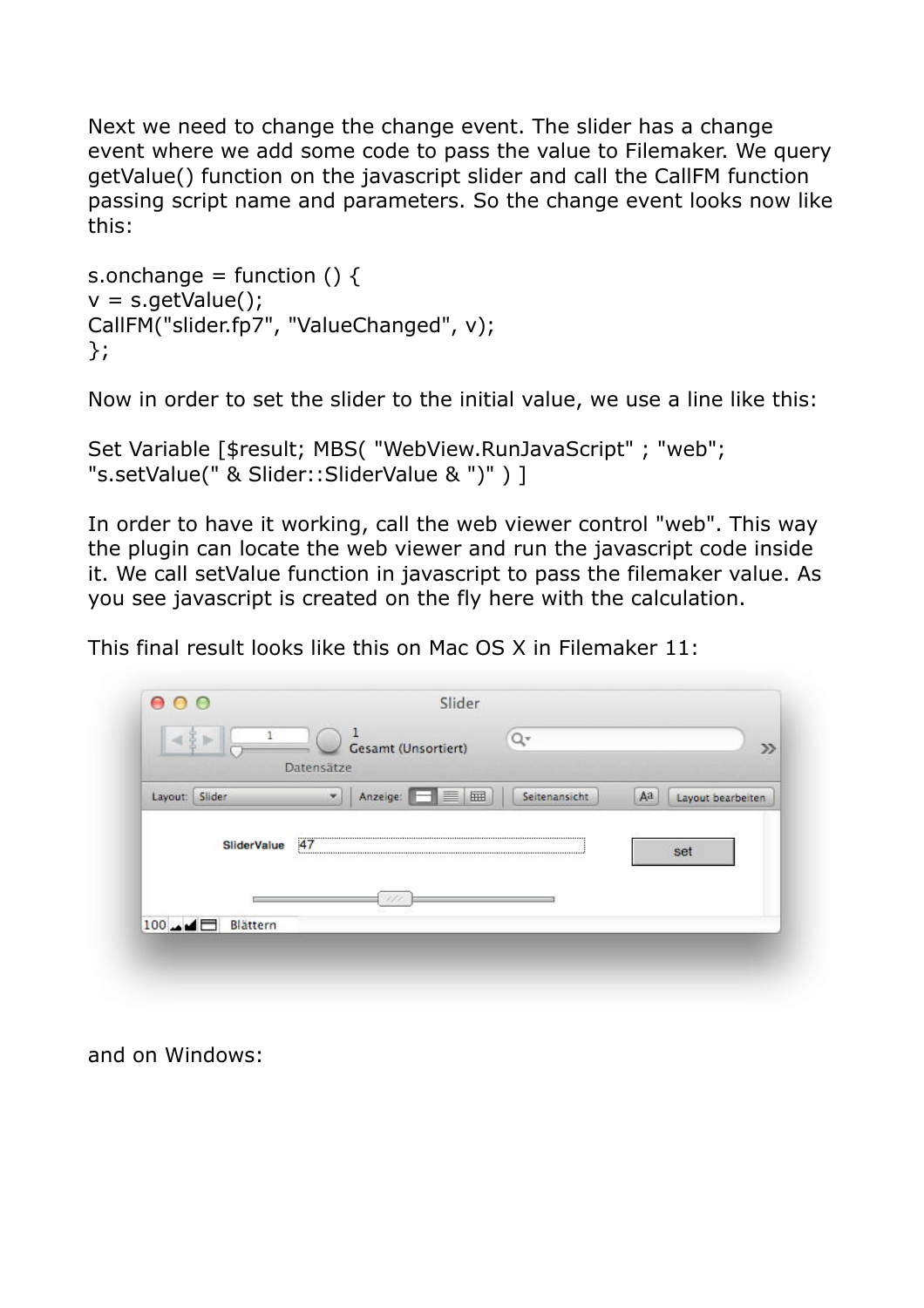Next we need to change the change event. The slider has a change event where we add some code to pass the value to Filemaker. We query getValue() function on the javascript slider and call the CallFM function passing script name and parameters. So the change event looks now like this:

```
s.onchange = function () \{v = s.getValue();
CallFM("slider.fp7", "ValueChanged", v);
};
```
Now in order to set the slider to the initial value, we use a line like this:

```
Set Variable [$result; MBS( "WebView.RunJavaScript" ; "web"; 
"s.setValue(" & Slider::SliderValue & ")" ) ]
```
In order to have it working, call the web viewer control "web". This way the plugin can locate the web viewer and run the javascript code inside it. We call setValue function in javascript to pass the filemaker value. As you see javascript is created on the fly here with the calculation.

This final result looks like this on Mac OS X in Filemaker 11:

|                |                         | Datensätze | <b>Gesamt (Unsortiert)</b> |   |               |    | $\gg$             |
|----------------|-------------------------|------------|----------------------------|---|---------------|----|-------------------|
| Layout: Slider |                         | ×          | Anzeige: <b>FR</b>         | ⊞ | Seitenansicht | Aа | Layout bearbeiten |
|                |                         |            |                            |   | 47            |    |                   |
|                | <b>SliderValue</b>      |            |                            |   |               |    | set               |
|                |                         |            | ×,                         |   |               |    |                   |
|                | $100 - 4 =$<br>Blättern |            |                            |   |               |    |                   |

and on Windows: